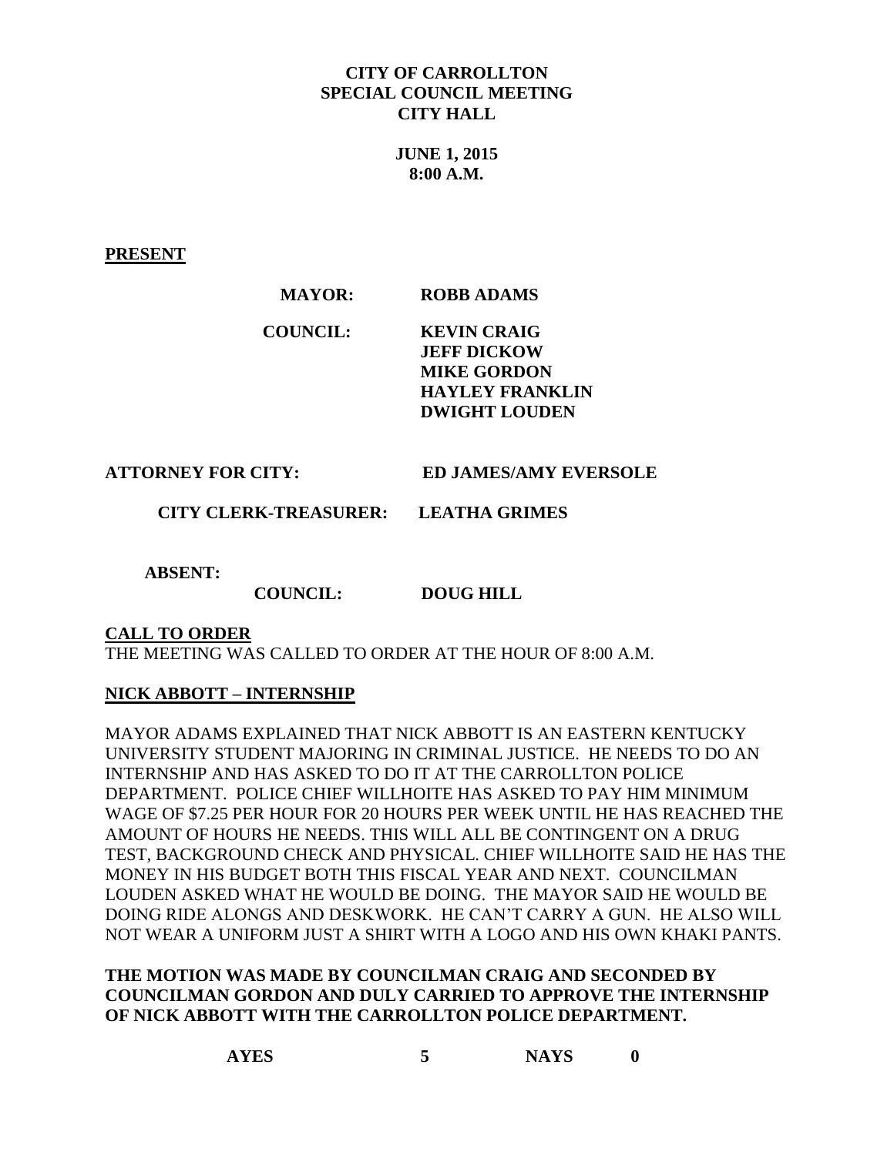# **CITY OF CARROLLTON SPECIAL COUNCIL MEETING CITY HALL**

**JUNE 1, 2015 8:00 A.M.**

**PRESENT**

### **MAYOR: ROBB ADAMS**

**COUNCIL: KEVIN CRAIG JEFF DICKOW MIKE GORDON HAYLEY FRANKLIN DWIGHT LOUDEN**

**ATTORNEY FOR CITY: ED JAMES/AMY EVERSOLE**

 **CITY CLERK-TREASURER: LEATHA GRIMES**

 **ABSENT:** 

 **COUNCIL: DOUG HILL**

### **CALL TO ORDER**

THE MEETING WAS CALLED TO ORDER AT THE HOUR OF 8:00 A.M.

### **NICK ABBOTT – INTERNSHIP**

MAYOR ADAMS EXPLAINED THAT NICK ABBOTT IS AN EASTERN KENTUCKY UNIVERSITY STUDENT MAJORING IN CRIMINAL JUSTICE. HE NEEDS TO DO AN INTERNSHIP AND HAS ASKED TO DO IT AT THE CARROLLTON POLICE DEPARTMENT. POLICE CHIEF WILLHOITE HAS ASKED TO PAY HIM MINIMUM WAGE OF \$7.25 PER HOUR FOR 20 HOURS PER WEEK UNTIL HE HAS REACHED THE AMOUNT OF HOURS HE NEEDS. THIS WILL ALL BE CONTINGENT ON A DRUG TEST, BACKGROUND CHECK AND PHYSICAL. CHIEF WILLHOITE SAID HE HAS THE MONEY IN HIS BUDGET BOTH THIS FISCAL YEAR AND NEXT. COUNCILMAN LOUDEN ASKED WHAT HE WOULD BE DOING. THE MAYOR SAID HE WOULD BE DOING RIDE ALONGS AND DESKWORK. HE CAN'T CARRY A GUN. HE ALSO WILL NOT WEAR A UNIFORM JUST A SHIRT WITH A LOGO AND HIS OWN KHAKI PANTS.

# **THE MOTION WAS MADE BY COUNCILMAN CRAIG AND SECONDED BY COUNCILMAN GORDON AND DULY CARRIED TO APPROVE THE INTERNSHIP OF NICK ABBOTT WITH THE CARROLLTON POLICE DEPARTMENT.**

| <b>AYES</b> | <b>NAYS</b> |
|-------------|-------------|
|-------------|-------------|